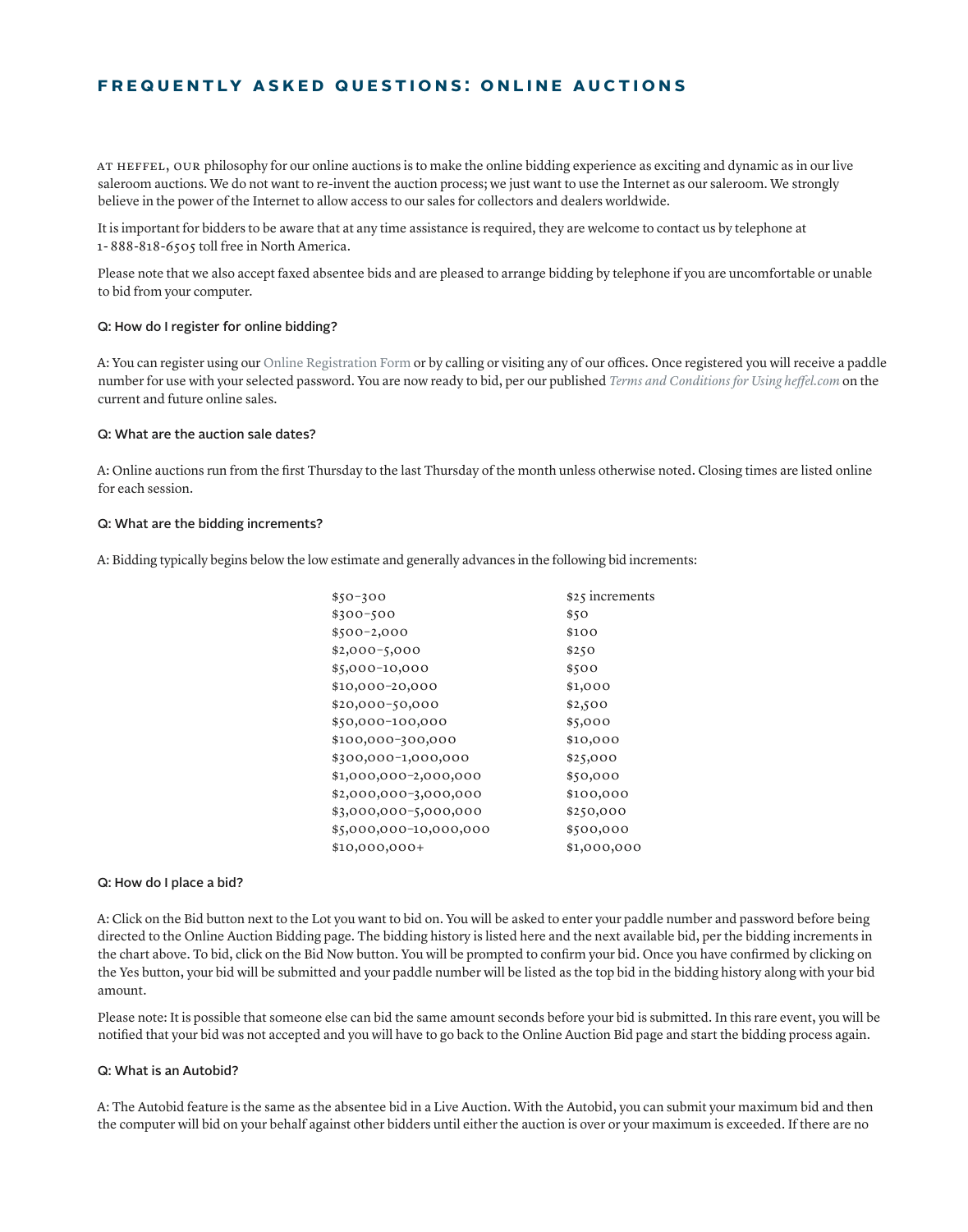# **FREQUENTLY ASKED QUESTIONS: ONLINE AUCTIONS**

At Heffel, our philosophy for our online auctions is to make the online bidding experience as exciting and dynamic as in our live saleroom auctions. We do not want to re-invent the auction process; we just want to use the Internet as our saleroom. We strongly believe in the power of the Internet to allow access to our sales for collectors and dealers worldwide.

It is important for bidders to be aware that at any time assistance is required, they are welcome to contact us by telephone at 1- 888-818-6505 toll free in North America.

Please note that we also accept faxed absentee bids and are pleased to arrange bidding by telephone if you are uncomfortable or unable to bid from your computer.

#### Q: How do I register for online bidding?

A: You can register using our [Online Registration Form](https://www.heffel.com/Links/Signup/Registration_E) or by calling or visiting any of our offices. Once registered you will receive a paddle number for use with your selected password. You are now ready to bid, per our published *[Terms and Conditions for Using heffel.com](https://www.heffel.com/Links/Web_Terms_E.pdf)* on the current and future online sales.

#### Q: What are the auction sale dates?

A: Online auctions run from the first Thursday to the last Thursday of the month unless otherwise noted. Closing times are listed online for each session.

#### Q: What are the bidding increments?

A: Bidding typically begins below the low estimate and generally advances in the following bid increments:

| $$50-300$              | \$25 increments |
|------------------------|-----------------|
| \$300-500              | \$50            |
| \$500-2,000            | \$100           |
| \$2,000-5,000          | \$250           |
| \$5,000-10,000         | \$500           |
| \$10,000-20,000        | \$1,000         |
| \$20,000-50,000        | \$2,500         |
| \$50,000-100,000       | \$5,000         |
| \$100,000-300,000      | \$10,000        |
| \$300,000-1,000,000    | \$25,000        |
| \$1,000,000-2,000,000  | \$50,000        |
| \$2,000,000-3,000,000  | \$100,000       |
| \$3,000,000-5,000,000  | \$250,000       |
| \$5,000,000-10,000,000 | \$500,000       |
| \$10,000,000+          | \$1,000,000     |

#### Q: How do I place a bid?

A: Click on the Bid button next to the Lot you want to bid on. You will be asked to enter your paddle number and password before being directed to the Online Auction Bidding page. The bidding history is listed here and the next available bid, per the bidding increments in the chart above. To bid, click on the Bid Now button. You will be prompted to confirm your bid. Once you have confirmed by clicking on the Yes button, your bid will be submitted and your paddle number will be listed as the top bid in the bidding history along with your bid amount.

Please note: It is possible that someone else can bid the same amount seconds before your bid is submitted. In this rare event, you will be notified that your bid was not accepted and you will have to go back to the Online Auction Bid page and start the bidding process again.

## Q: What is an Autobid?

A: The Autobid feature is the same as the absentee bid in a Live Auction. With the Autobid, you can submit your maximum bid and then the computer will bid on your behalf against other bidders until either the auction is over or your maximum is exceeded. If there are no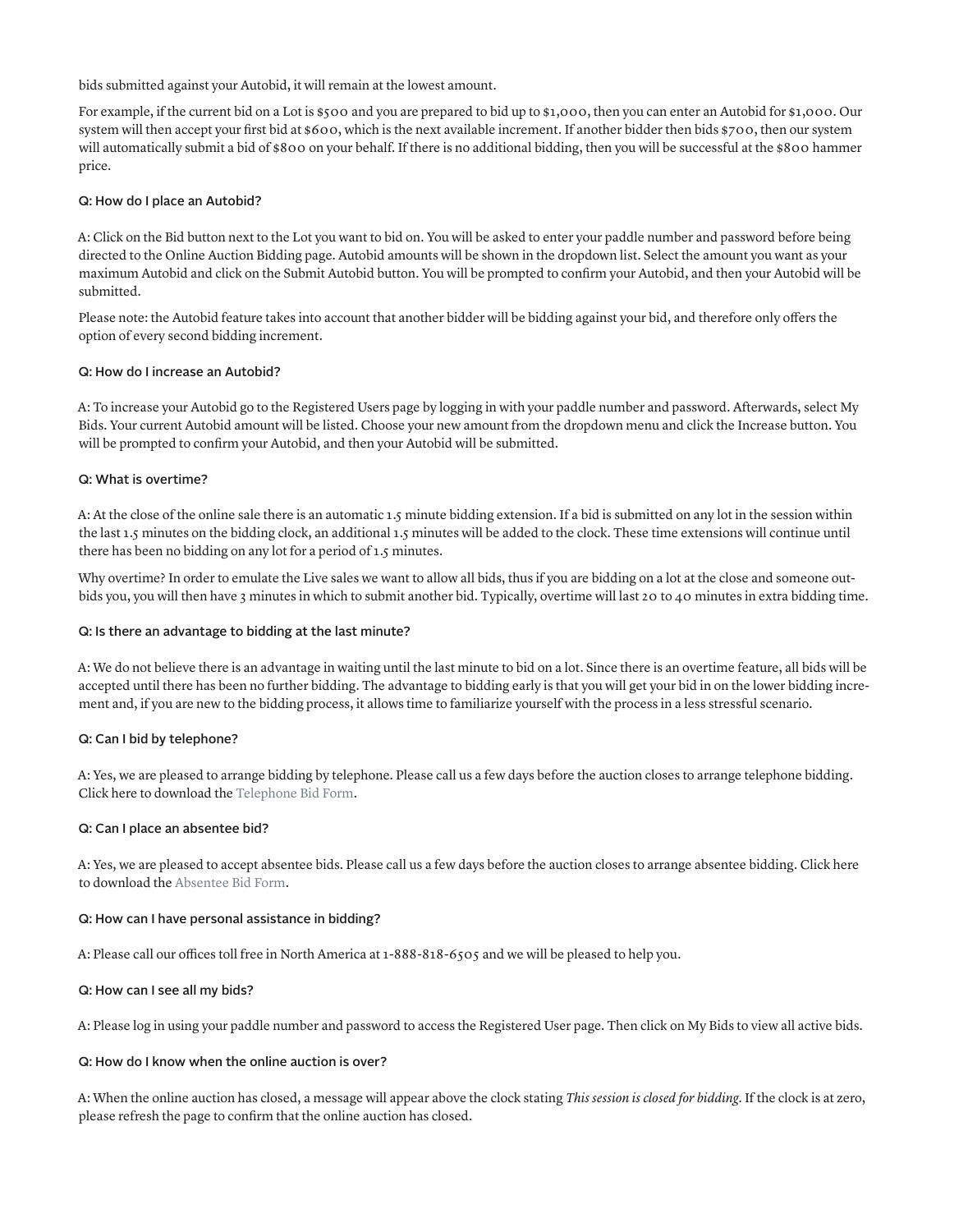bids submitted against your Autobid, it will remain at the lowest amount.

For example, if the current bid on a Lot is \$500 and you are prepared to bid up to \$1,000, then you can enter an Autobid for \$1,000. Our system will then accept your first bid at \$600, which is the next available increment. If another bidder then bids \$700, then our system will automatically submit a bid of \$800 on your behalf. If there is no additional bidding, then you will be successful at the \$800 hammer price.

## Q: How do I place an Autobid?

A: Click on the Bid button next to the Lot you want to bid on. You will be asked to enter your paddle number and password before being directed to the Online Auction Bidding page. Autobid amounts will be shown in the dropdown list. Select the amount you want as your maximum Autobid and click on the Submit Autobid button. You will be prompted to confirm your Autobid, and then your Autobid will be submitted.

Please note: the Autobid feature takes into account that another bidder will be bidding against your bid, and therefore only offers the option of every second bidding increment.

#### Q: How do I increase an Autobid?

A: To increase your Autobid go to the Registered Users page by logging in with your paddle number and password. Afterwards, select My Bids. Your current Autobid amount will be listed. Choose your new amount from the dropdown menu and click the Increase button. You will be prompted to confirm your Autobid, and then your Autobid will be submitted.

## Q: What is overtime?

A: At the close of the online sale there is an automatic 1.5 minute bidding extension. If a bid is submitted on any lot in the session within the last 1.5 minutes on the bidding clock, an additional 1.5 minutes will be added to the clock. These time extensions will continue until there has been no bidding on any lot for a period of 1.5 minutes.

Why overtime? In order to emulate the Live sales we want to allow all bids, thus if you are bidding on a lot at the close and someone outbids you, you will then have 3 minutes in which to submit another bid. Typically, overtime will last 20 to 40 minutes in extra bidding time.

# Q: Is there an advantage to bidding at the last minute?

A: We do not believe there is an advantage in waiting until the last minute to bid on a lot. Since there is an overtime feature, all bids will be accepted until there has been no further bidding. The advantage to bidding early is that you will get your bid in on the lower bidding increment and, if you are new to the bidding process, it allows time to familiarize yourself with the process in a less stressful scenario.

#### Q: Can I bid by telephone?

A: Yes, we are pleased to arrange bidding by telephone. Please call us a few days before the auction closes to arrange telephone bidding. Click here to download the [Telephone Bid Form.](https://www.heffel.com/Auction/Tel_Bid_Form_E.pdf)

#### Q: Can I place an absentee bid?

A: Yes, we are pleased to accept absentee bids. Please call us a few days before the auction closes to arrange absentee bidding. Click here to download the [Absentee Bid Form](https://www.heffel.com/Auction/Absentee_Bid_Form_E.pdf).

#### Q: How can I have personal assistance in bidding?

A: Please call our offices toll free in North America at 1-888-818-6505 and we will be pleased to help you.

# Q: How can I see all my bids?

A: Please log in using your paddle number and password to access the Registered User page. Then click on My Bids to view all active bids.

#### Q: How do I know when the online auction is over?

A: When the online auction has closed, a message will appear above the clock stating *This session is closed for bidding*. If the clock is at zero, please refresh the page to confirm that the online auction has closed.